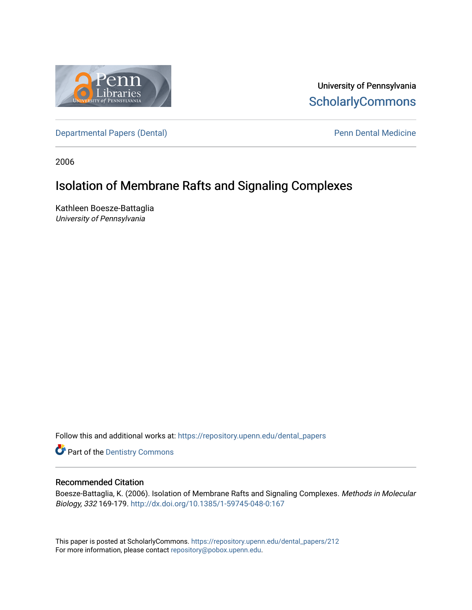

University of Pennsylvania **ScholarlyCommons** 

[Departmental Papers \(Dental\)](https://repository.upenn.edu/dental_papers) and Europe and Penn Dental Medicine

2006

# Isolation of Membrane Rafts and Signaling Complexes

Kathleen Boesze-Battaglia University of Pennsylvania

Follow this and additional works at: [https://repository.upenn.edu/dental\\_papers](https://repository.upenn.edu/dental_papers?utm_source=repository.upenn.edu%2Fdental_papers%2F212&utm_medium=PDF&utm_campaign=PDFCoverPages)

**Part of the Dentistry Commons** 

# Recommended Citation

Boesze-Battaglia, K. (2006). Isolation of Membrane Rafts and Signaling Complexes. Methods in Molecular Biology, 332 169-179. <http://dx.doi.org/10.1385/1-59745-048-0:167>

This paper is posted at ScholarlyCommons. [https://repository.upenn.edu/dental\\_papers/212](https://repository.upenn.edu/dental_papers/212)  For more information, please contact [repository@pobox.upenn.edu.](mailto:repository@pobox.upenn.edu)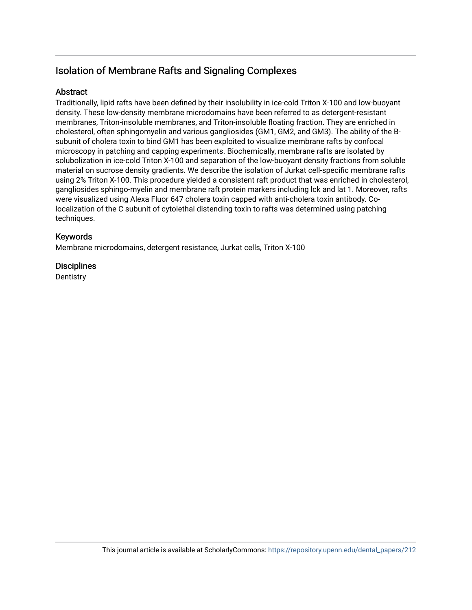# Isolation of Membrane Rafts and Signaling Complexes

# Abstract

Traditionally, lipid rafts have been defined by their insolubility in ice-cold Triton X-100 and low-buoyant density. These low-density membrane microdomains have been referred to as detergent-resistant membranes, Triton-insoluble membranes, and Triton-insoluble floating fraction. They are enriched in cholesterol, often sphingomyelin and various gangliosides (GM1, GM2, and GM3). The ability of the Bsubunit of cholera toxin to bind GM1 has been exploited to visualize membrane rafts by confocal microscopy in patching and capping experiments. Biochemically, membrane rafts are isolated by solubolization in ice-cold Triton X-100 and separation of the low-buoyant density fractions from soluble material on sucrose density gradients. We describe the isolation of Jurkat cell-specific membrane rafts using 2% Triton X-100. This procedure yielded a consistent raft product that was enriched in cholesterol, gangliosides sphingo-myelin and membrane raft protein markers including lck and lat 1. Moreover, rafts were visualized using Alexa Fluor 647 cholera toxin capped with anti-cholera toxin antibody. Colocalization of the C subunit of cytolethal distending toxin to rafts was determined using patching techniques.

# Keywords

Membrane microdomains, detergent resistance, Jurkat cells, Triton X-100

# **Disciplines**

**Dentistry**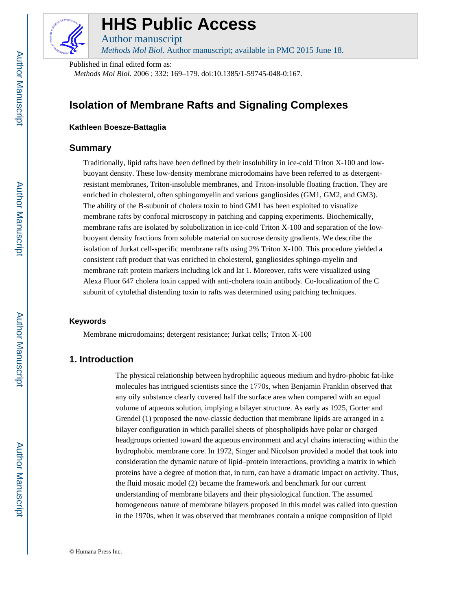

# **HHS Public Access**

Author manuscript *Methods Mol Biol*. Author manuscript; available in PMC 2015 June 18.

Published in final edited form as: *Methods Mol Biol*. 2006 ; 332: 169–179. doi:10.1385/1-59745-048-0:167.

# **Isolation of Membrane Rafts and Signaling Complexes**

## **Kathleen Boesze-Battaglia**

# **Summary**

Traditionally, lipid rafts have been defined by their insolubility in ice-cold Triton X-100 and lowbuoyant density. These low-density membrane microdomains have been referred to as detergentresistant membranes, Triton-insoluble membranes, and Triton-insoluble floating fraction. They are enriched in cholesterol, often sphingomyelin and various gangliosides (GM1, GM2, and GM3). The ability of the B-subunit of cholera toxin to bind GM1 has been exploited to visualize membrane rafts by confocal microscopy in patching and capping experiments. Biochemically, membrane rafts are isolated by solubolization in ice-cold Triton X-100 and separation of the lowbuoyant density fractions from soluble material on sucrose density gradients. We describe the isolation of Jurkat cell-specific membrane rafts using 2% Triton X-100. This procedure yielded a consistent raft product that was enriched in cholesterol, gangliosides sphingo-myelin and membrane raft protein markers including lck and lat 1. Moreover, rafts were visualized using Alexa Fluor 647 cholera toxin capped with anti-cholera toxin antibody. Co-localization of the C subunit of cytolethal distending toxin to rafts was determined using patching techniques.

#### **Keywords**

Membrane microdomains; detergent resistance; Jurkat cells; Triton X-100

# **1. Introduction**

The physical relationship between hydrophilic aqueous medium and hydro-phobic fat-like molecules has intrigued scientists since the 1770s, when Benjamin Franklin observed that any oily substance clearly covered half the surface area when compared with an equal volume of aqueous solution, implying a bilayer structure. As early as 1925, Gorter and Grendel (1) proposed the now-classic deduction that membrane lipids are arranged in a bilayer configuration in which parallel sheets of phospholipids have polar or charged headgroups oriented toward the aqueous environment and acyl chains interacting within the hydrophobic membrane core. In 1972, Singer and Nicolson provided a model that took into consideration the dynamic nature of lipid–protein interactions, providing a matrix in which proteins have a degree of motion that, in turn, can have a dramatic impact on activity. Thus, the fluid mosaic model (2) became the framework and benchmark for our current understanding of membrane bilayers and their physiological function. The assumed homogeneous nature of membrane bilayers proposed in this model was called into question in the 1970s, when it was observed that membranes contain a unique composition of lipid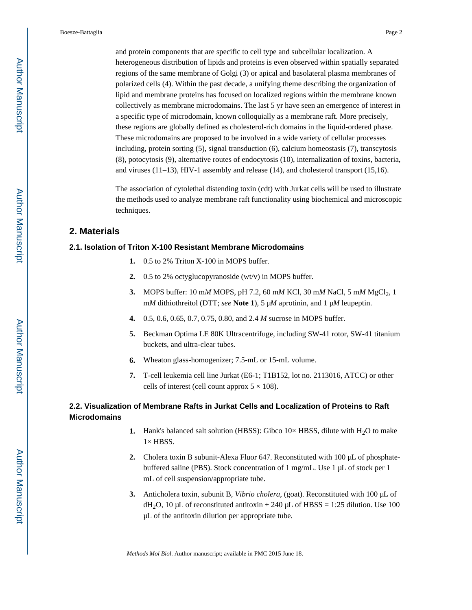and protein components that are specific to cell type and subcellular localization. A heterogeneous distribution of lipids and proteins is even observed within spatially separated regions of the same membrane of Golgi (3) or apical and basolateral plasma membranes of polarized cells (4). Within the past decade, a unifying theme describing the organization of lipid and membrane proteins has focused on localized regions within the membrane known collectively as membrane microdomains. The last 5 yr have seen an emergence of interest in a specific type of microdomain, known colloquially as a membrane raft. More precisely, these regions are globally defined as cholesterol-rich domains in the liquid-ordered phase. These microdomains are proposed to be involved in a wide variety of cellular processes including, protein sorting (5), signal transduction (6), calcium homeostasis (7), transcytosis (8), potocytosis (9), alternative routes of endocytosis (10), internalization of toxins, bacteria, and viruses (11–13), HIV-1 assembly and release (14), and cholesterol transport (15,16).

The association of cytolethal distending toxin (cdt) with Jurkat cells will be used to illustrate the methods used to analyze membrane raft functionality using biochemical and microscopic techniques.

### **2. Materials**

#### **2.1. Isolation of Triton X-100 Resistant Membrane Microdomains**

- **1.** 0.5 to 2% Triton X-100 in MOPS buffer.
- **2.** 0.5 to 2% octyglucopyranoside (wt/v) in MOPS buffer.
- 3. MOPS buffer: 10 mM MOPS, pH 7.2, 60 mM KCl, 30 mM NaCl, 5 mM MgCl<sub>2</sub>, 1 m*M* dithiothreitol (DTT; *see* **Note 1**), 5 μ*M* aprotinin, and 1 μ*M* leupeptin.
- **4.** 0.5, 0.6, 0.65, 0.7, 0.75, 0.80, and 2.4 *M* sucrose in MOPS buffer.
- **5.** Beckman Optima LE 80K Ultracentrifuge, including SW-41 rotor, SW-41 titanium buckets, and ultra-clear tubes.
- **6.** Wheaton glass-homogenizer; 7.5-mL or 15-mL volume.
- **7.** T-cell leukemia cell line Jurkat (E6-1; T1B152, lot no. 2113016, ATCC) or other cells of interest (cell count approx  $5 \times 108$ ).

# **2.2. Visualization of Membrane Rafts in Jurkat Cells and Localization of Proteins to Raft Microdomains**

- **1.** Hank's balanced salt solution (HBSS): Gibco  $10 \times$  HBSS, dilute with  $H_2O$  to make  $1\times$  HBSS.
- **2.** Cholera toxin B subunit-Alexa Fluor 647. Reconstituted with 100 μL of phosphatebuffered saline (PBS). Stock concentration of 1 mg/mL. Use 1 μL of stock per 1 mL of cell suspension/appropriate tube.
- **3.** Anticholera toxin, subunit B, *Vibrio cholera*, (goat). Reconstituted with 100 μL of  $dH_2O$ , 10 μL of reconstituted antitoxin + 240 μL of HBSS = 1:25 dilution. Use 100 μL of the antitoxin dilution per appropriate tube.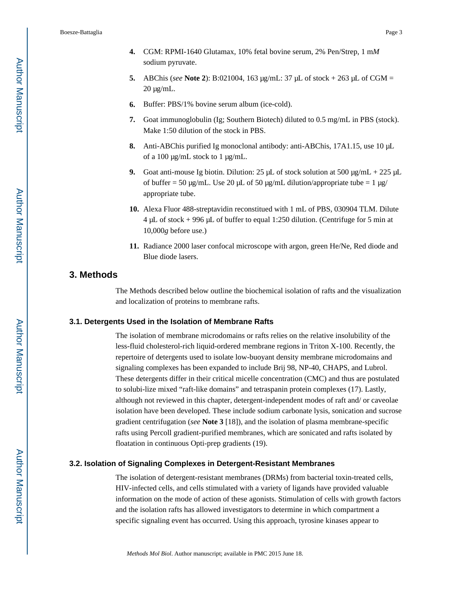- **5.** ABChis (*see* **Note 2**): B:021004, 163 μg/mL: 37 μL of stock + 263 μL of CGM = 20 μg/mL.
- **6.** Buffer: PBS/1% bovine serum album (ice-cold).
- **7.** Goat immunoglobulin (Ig; Southern Biotech) diluted to 0.5 mg/mL in PBS (stock). Make 1:50 dilution of the stock in PBS.
- **8.** Anti-ABChis purified Ig monoclonal antibody: anti-ABChis, 17A1.15, use 10 μL of a 100 μg/mL stock to 1 μg/mL.
- **9.** Goat anti-mouse Ig biotin. Dilution:  $25 \mu L$  of stock solution at  $500 \mu g/mL + 225 \mu L$ of buffer = 50 μg/mL. Use 20 μL of 50 μg/mL dilution/appropriate tube = 1 μg/ appropriate tube.
- **10.** Alexa Fluor 488-streptavidin reconstitued with 1 mL of PBS, 030904 TLM. Dilute 4 μL of stock + 996 μL of buffer to equal 1:250 dilution. (Centrifuge for 5 min at 10,000*g* before use.)
- **11.** Radiance 2000 laser confocal microscope with argon, green He/Ne, Red diode and Blue diode lasers.

## **3. Methods**

The Methods described below outline the biochemical isolation of rafts and the visualization and localization of proteins to membrane rafts.

#### **3.1. Detergents Used in the Isolation of Membrane Rafts**

The isolation of membrane microdomains or rafts relies on the relative insolubility of the less-fluid cholesterol-rich liquid-ordered membrane regions in Triton X-100. Recently, the repertoire of detergents used to isolate low-buoyant density membrane microdomains and signaling complexes has been expanded to include Brij 98, NP-40, CHAPS, and Lubrol. These detergents differ in their critical micelle concentration (CMC) and thus are postulated to solubi-lize mixed "raft-like domains" and tetraspanin protein complexes (17). Lastly, although not reviewed in this chapter, detergent-independent modes of raft and/ or caveolae isolation have been developed. These include sodium carbonate lysis, sonication and sucrose gradient centrifugation (*see* **Note 3** [18]), and the isolation of plasma membrane-specific rafts using Percoll gradient-purified membranes, which are sonicated and rafts isolated by floatation in continuous Opti-prep gradients (19).

#### **3.2. Isolation of Signaling Complexes in Detergent-Resistant Membranes**

The isolation of detergent-resistant membranes (DRMs) from bacterial toxin-treated cells, HIV-infected cells, and cells stimulated with a variety of ligands have provided valuable information on the mode of action of these agonists. Stimulation of cells with growth factors and the isolation rafts has allowed investigators to determine in which compartment a specific signaling event has occurred. Using this approach, tyrosine kinases appear to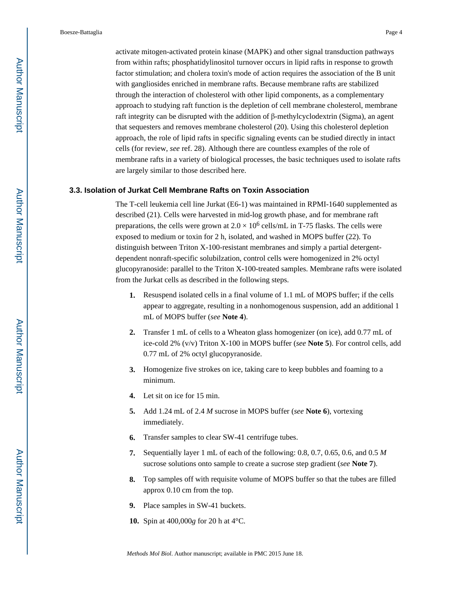activate mitogen-activated protein kinase (MAPK) and other signal transduction pathways from within rafts; phosphatidylinositol turnover occurs in lipid rafts in response to growth factor stimulation; and cholera toxin's mode of action requires the association of the B unit with gangliosides enriched in membrane rafts. Because membrane rafts are stabilized through the interaction of cholesterol with other lipid components, as a complementary approach to studying raft function is the depletion of cell membrane cholesterol, membrane raft integrity can be disrupted with the addition of β-methylcyclodextrin (Sigma), an agent that sequesters and removes membrane cholesterol (20). Using this cholesterol depletion approach, the role of lipid rafts in specific signaling events can be studied directly in intact cells (for review, *see* ref. 28). Although there are countless examples of the role of membrane rafts in a variety of biological processes, the basic techniques used to isolate rafts are largely similar to those described here.

#### **3.3. Isolation of Jurkat Cell Membrane Rafts on Toxin Association**

The T-cell leukemia cell line Jurkat (E6-1) was maintained in RPMI-1640 supplemented as described (21). Cells were harvested in mid-log growth phase, and for membrane raft preparations, the cells were grown at  $2.0 \times 10^6$  cells/mL in T-75 flasks. The cells were exposed to medium or toxin for 2 h, isolated, and washed in MOPS buffer (22). To distinguish between Triton X-100-resistant membranes and simply a partial detergentdependent nonraft-specific solubilzation, control cells were homogenized in 2% octyl glucopyranoside: parallel to the Triton X-100-treated samples. Membrane rafts were isolated from the Jurkat cells as described in the following steps.

- **1.** Resuspend isolated cells in a final volume of 1.1 mL of MOPS buffer; if the cells appear to aggregate, resulting in a nonhomogenous suspension, add an additional 1 mL of MOPS buffer (*see* **Note 4**).
- **2.** Transfer 1 mL of cells to a Wheaton glass homogenizer (on ice), add 0.77 mL of ice-cold 2% (v/v) Triton X-100 in MOPS buffer (*see* **Note 5**). For control cells, add 0.77 mL of 2% octyl glucopyranoside.
- **3.** Homogenize five strokes on ice, taking care to keep bubbles and foaming to a minimum.
- **4.** Let sit on ice for 15 min.
- **5.** Add 1.24 mL of 2.4 *M* sucrose in MOPS buffer (*see* **Note 6**), vortexing immediately.
- **6.** Transfer samples to clear SW-41 centrifuge tubes.
- **7.** Sequentially layer 1 mL of each of the following: 0.8, 0.7, 0.65, 0.6, and 0.5 *M*  sucrose solutions onto sample to create a sucrose step gradient (*see* **Note 7**).
- **8.** Top samples off with requisite volume of MOPS buffer so that the tubes are filled approx 0.10 cm from the top.
- **9.** Place samples in SW-41 buckets.
- **10.** Spin at 400,000*g* for 20 h at 4°C.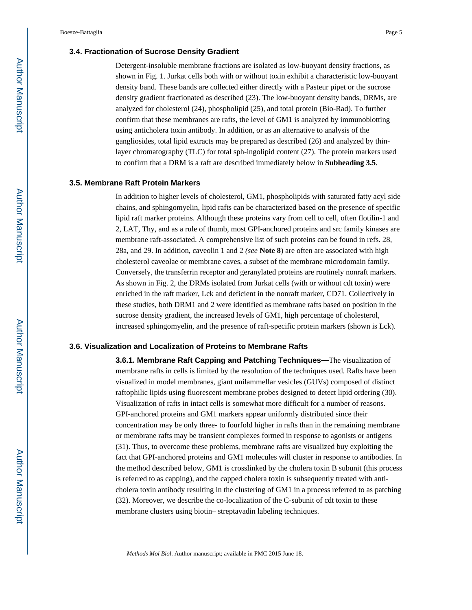#### **3.4. Fractionation of Sucrose Density Gradient**

Detergent-insoluble membrane fractions are isolated as low-buoyant density fractions, as shown in Fig. 1. Jurkat cells both with or without toxin exhibit a characteristic low-buoyant density band. These bands are collected either directly with a Pasteur pipet or the sucrose density gradient fractionated as described (23). The low-buoyant density bands, DRMs, are analyzed for cholesterol (24), phospholipid (25), and total protein (Bio-Rad). To further confirm that these membranes are rafts, the level of GM1 is analyzed by immunoblotting using anticholera toxin antibody. In addition, or as an alternative to analysis of the gangliosides, total lipid extracts may be prepared as described (26) and analyzed by thinlayer chromatography (TLC) for total sph-ingolipid content (27). The protein markers used to confirm that a DRM is a raft are described immediately below in **Subheading 3.5**.

#### **3.5. Membrane Raft Protein Markers**

In addition to higher levels of cholesterol, GM1, phospholipids with saturated fatty acyl side chains, and sphingomyelin, lipid rafts can be characterized based on the presence of specific lipid raft marker proteins. Although these proteins vary from cell to cell, often flotilin-1 and 2, LAT, Thy, and as a rule of thumb, most GPI-anchored proteins and src family kinases are membrane raft-associated. A comprehensive list of such proteins can be found in refs. 28, 28a, and 29. In addition, caveolin 1 and 2 *(see* **Note 8**) are often are associated with high cholesterol caveolae or membrane caves, a subset of the membrane microdomain family. Conversely, the transferrin receptor and geranylated proteins are routinely nonraft markers. As shown in Fig. 2, the DRMs isolated from Jurkat cells (with or without cdt toxin) were enriched in the raft marker, Lck and deficient in the nonraft marker, CD71. Collectively in these studies, both DRM1 and 2 were identified as membrane rafts based on position in the sucrose density gradient, the increased levels of GM1, high percentage of cholesterol, increased sphingomyelin, and the presence of raft-specific protein markers (shown is Lck).

#### **3.6. Visualization and Localization of Proteins to Membrane Rafts**

**3.6.1. Membrane Raft Capping and Patching Techniques—**The visualization of membrane rafts in cells is limited by the resolution of the techniques used. Rafts have been visualized in model membranes, giant unilammellar vesicles (GUVs) composed of distinct raftophilic lipids using fluorescent membrane probes designed to detect lipid ordering (30). Visualization of rafts in intact cells is somewhat more difficult for a number of reasons. GPI-anchored proteins and GM1 markers appear uniformly distributed since their concentration may be only three- to fourfold higher in rafts than in the remaining membrane or membrane rafts may be transient complexes formed in response to agonists or antigens (31). Thus, to overcome these problems, membrane rafts are visualized buy exploiting the fact that GPI-anchored proteins and GM1 molecules will cluster in response to antibodies. In the method described below, GM1 is crosslinked by the cholera toxin B subunit (this process is referred to as capping), and the capped cholera toxin is subsequently treated with anticholera toxin antibody resulting in the clustering of GM1 in a process referred to as patching (32). Moreover, we describe the co-localization of the C-subunit of cdt toxin to these membrane clusters using biotin– streptavadin labeling techniques.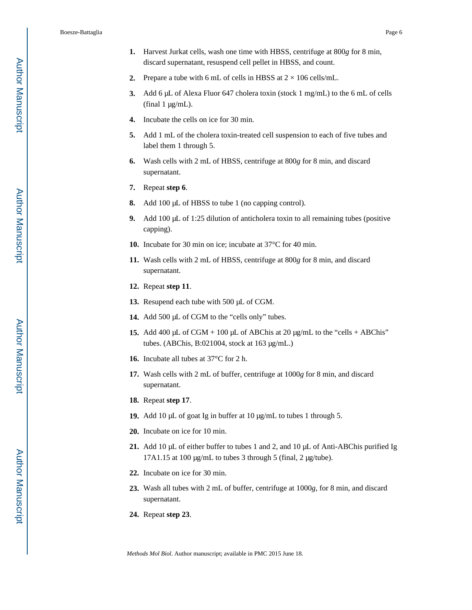- **1.** Harvest Jurkat cells, wash one time with HBSS, centrifuge at 800*g* for 8 min, discard supernatant, resuspend cell pellet in HBSS, and count.
- **2.** Prepare a tube with 6 mL of cells in HBSS at  $2 \times 106$  cells/mL.
- **3.** Add 6 μL of Alexa Fluor 647 cholera toxin (stock 1 mg/mL) to the 6 mL of cells (final  $1 \mu g/mL$ ).
- **4.** Incubate the cells on ice for 30 min.
- **5.** Add 1 mL of the cholera toxin-treated cell suspension to each of five tubes and label them 1 through 5.
- **6.** Wash cells with 2 mL of HBSS, centrifuge at 800*g* for 8 min, and discard supernatant.
- **7.** Repeat **step 6**.
- **8.** Add 100 μL of HBSS to tube 1 (no capping control).
- **9.** Add 100 μL of 1:25 dilution of anticholera toxin to all remaining tubes (positive capping).
- **10.** Incubate for 30 min on ice; incubate at 37°C for 40 min.
- **11.** Wash cells with 2 mL of HBSS, centrifuge at 800*g* for 8 min, and discard supernatant.
- **12.** Repeat **step 11**.
- **13.** Resupend each tube with 500 μL of CGM.
- **14.** Add 500 μL of CGM to the "cells only" tubes.
- **15.** Add 400 μL of CGM + 100 μL of ABChis at 20 μg/mL to the "cells + ABChis" tubes. (ABChis, B:021004, stock at 163 μg/mL.)
- **16.** Incubate all tubes at 37°C for 2 h.
- **17.** Wash cells with 2 mL of buffer, centrifuge at 1000*g* for 8 min, and discard supernatant.
- **18.** Repeat **step 17**.
- **19.** Add 10 μL of goat Ig in buffer at 10 μg/mL to tubes 1 through 5.
- **20.** Incubate on ice for 10 min.
- **21.** Add 10 μL of either buffer to tubes 1 and 2, and 10 μL of Anti-ABChis purified Ig 17A1.15 at 100 μg/mL to tubes 3 through 5 (final, 2 μg/tube).
- **22.** Incubate on ice for 30 min.
- **23.** Wash all tubes with 2 mL of buffer, centrifuge at 1000*g*, for 8 min, and discard supernatant.
- **24.** Repeat **step 23**.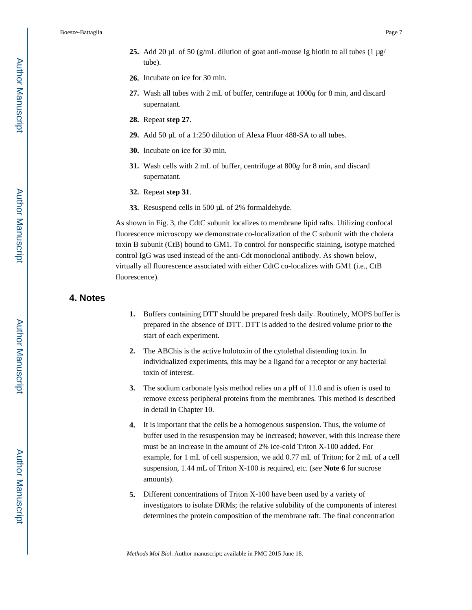Boesze-Battaglia **Page 7** 

- **25.** Add 20 μL of 50 (g/mL dilution of goat anti-mouse Ig biotin to all tubes  $(1 \mu g)$ tube).
- **26.** Incubate on ice for 30 min.
- **27.** Wash all tubes with 2 mL of buffer, centrifuge at 1000*g* for 8 min, and discard supernatant.
- **28.** Repeat **step 27**.
- **29.** Add 50 μL of a 1:250 dilution of Alexa Fluor 488-SA to all tubes.
- **30.** Incubate on ice for 30 min.
- **31.** Wash cells with 2 mL of buffer, centrifuge at 800*g* for 8 min, and discard supernatant.
- **32.** Repeat **step 31**.
- **33.** Resuspend cells in 500 μL of 2% formaldehyde.

As shown in Fig. 3, the CdtC subunit localizes to membrane lipid rafts. Utilizing confocal fluorescence microscopy we demonstrate co-localization of the C subunit with the cholera toxin B subunit (CtB) bound to GM1. To control for nonspecific staining, isotype matched control IgG was used instead of the anti-Cdt monoclonal antibody. As shown below, virtually all fluorescence associated with either CdtC co-localizes with GM1 (i.e., CtB fluorescence).

# **4. Notes**

- **1.** Buffers containing DTT should be prepared fresh daily. Routinely, MOPS buffer is prepared in the absence of DTT. DTT is added to the desired volume prior to the start of each experiment.
- **2.** The ABChis is the active holotoxin of the cytolethal distending toxin. In individualized experiments, this may be a ligand for a receptor or any bacterial toxin of interest.
- **3.** The sodium carbonate lysis method relies on a pH of 11.0 and is often is used to remove excess peripheral proteins from the membranes. This method is described in detail in Chapter 10.
- **4.** It is important that the cells be a homogenous suspension. Thus, the volume of buffer used in the resuspension may be increased; however, with this increase there must be an increase in the amount of 2% ice-cold Triton X-100 added. For example, for 1 mL of cell suspension, we add 0.77 mL of Triton; for 2 mL of a cell suspension, 1.44 mL of Triton X-100 is required, etc. (*see* **Note 6** for sucrose amounts).
- **5.** Different concentrations of Triton X-100 have been used by a variety of investigators to isolate DRMs; the relative solubility of the components of interest determines the protein composition of the membrane raft. The final concentration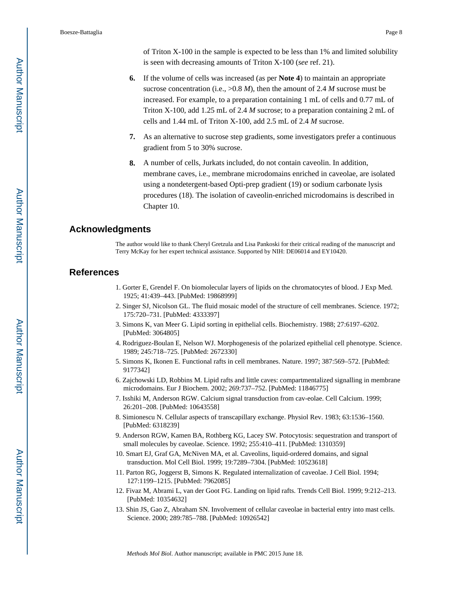of Triton X-100 in the sample is expected to be less than 1% and limited solubility is seen with decreasing amounts of Triton X-100 (*see* ref. 21).

- **6.** If the volume of cells was increased (as per **Note 4**) to maintain an appropriate sucrose concentration (i.e.,  $>0.8$  *M*), then the amount of 2.4 *M* sucrose must be increased. For example, to a preparation containing 1 mL of cells and 0.77 mL of Triton X-100, add 1.25 mL of 2.4 *M* sucrose; to a preparation containing 2 mL of cells and 1.44 mL of Triton X-100, add 2.5 mL of 2.4 *M* sucrose.
- **7.** As an alternative to sucrose step gradients, some investigators prefer a continuous gradient from 5 to 30% sucrose.
- **8.** A number of cells, Jurkats included, do not contain caveolin. In addition, membrane caves, i.e., membrane microdomains enriched in caveolae, are isolated using a nondetergent-based Opti-prep gradient (19) or sodium carbonate lysis procedures (18). The isolation of caveolin-enriched microdomains is described in Chapter 10.

## **Acknowledgments**

The author would like to thank Cheryl Gretzula and Lisa Pankoski for their critical reading of the manuscript and Terry McKay for her expert technical assistance. Supported by NIH: DE06014 and EY10420.

## **References**

- 1. Gorter E, Grendel F. On biomolecular layers of lipids on the chromatocytes of blood. J Exp Med. 1925; 41:439–443. [PubMed: 19868999]
- 2. Singer SJ, Nicolson GL. The fluid mosaic model of the structure of cell membranes. Science. 1972; 175:720–731. [PubMed: 4333397]
- 3. Simons K, van Meer G. Lipid sorting in epithelial cells. Biochemistry. 1988; 27:6197–6202. [PubMed: 3064805]
- 4. Rodriguez-Boulan E, Nelson WJ. Morphogenesis of the polarized epithelial cell phenotype. Science. 1989; 245:718–725. [PubMed: 2672330]
- 5. Simons K, Ikonen E. Functional rafts in cell membranes. Nature. 1997; 387:569–572. [PubMed: 9177342]
- 6. Zajchowski LD, Robbins M. Lipid rafts and little caves: compartmentalized signalling in membrane microdomains. Eur J Biochem. 2002; 269:737–752. [PubMed: 11846775]
- 7. Isshiki M, Anderson RGW. Calcium signal transduction from cav-eolae. Cell Calcium. 1999; 26:201–208. [PubMed: 10643558]
- 8. Simionescu N. Cellular aspects of transcapillary exchange. Physiol Rev. 1983; 63:1536–1560. [PubMed: 6318239]
- 9. Anderson RGW, Kamen BA, Rothberg KG, Lacey SW. Potocytosis: sequestration and transport of small molecules by caveolae. Science. 1992; 255:410–411. [PubMed: 1310359]
- 10. Smart EJ, Graf GA, McNiven MA, et al. Caveolins, liquid-ordered domains, and signal transduction. Mol Cell Biol. 1999; 19:7289–7304. [PubMed: 10523618]
- 11. Parton RG, Joggerst B, Simons K. Regulated internalization of caveolae. J Cell Biol. 1994; 127:1199–1215. [PubMed: 7962085]
- 12. Fivaz M, Abrami L, van der Goot FG. Landing on lipid rafts. Trends Cell Biol. 1999; 9:212–213. [PubMed: 10354632]
- 13. Shin JS, Gao Z, Abraham SN. Involvement of cellular caveolae in bacterial entry into mast cells. Science. 2000; 289:785–788. [PubMed: 10926542]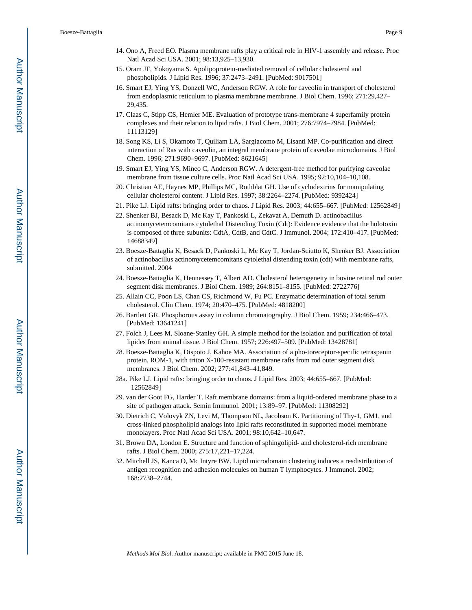- 14. Ono A, Freed EO. Plasma membrane rafts play a critical role in HIV-1 assembly and release. Proc Natl Acad Sci USA. 2001; 98:13,925–13,930.
- 15. Oram JF, Yokoyama S. Apolipoprotein-mediated removal of cellular cholesterol and phospholipids. J Lipid Res. 1996; 37:2473–2491. [PubMed: 9017501]
- 16. Smart EJ, Ying YS, Donzell WC, Anderson RGW. A role for caveolin in transport of cholesterol from endoplasmic reticulum to plasma membrane membrane. J Biol Chem. 1996; 271:29,427– 29,435.
- 17. Claas C, Stipp CS, Hemler ME. Evaluation of prototype trans-membrane 4 superfamily protein complexes and their relation to lipid rafts. J Biol Chem. 2001; 276:7974–7984. [PubMed: 11113129]
- 18. Song KS, Li S, Okamoto T, Quiliam LA, Sargiacomo M, Lisanti MP. Co-purification and direct interaction of Ras with caveolin, an integral membrane protein of caveolae microdomains. J Biol Chem. 1996; 271:9690–9697. [PubMed: 8621645]
- 19. Smart EJ, Ying YS, Mineo C, Anderson RGW. A detergent-free method for purifying caveolae membrane from tissue culture cells. Proc Natl Acad Sci USA. 1995; 92:10,104–10,108.
- 20. Christian AE, Haynes MP, Phillips MC, Rothblat GH. Use of cyclodextrins for manipulating cellular cholesterol content. J Lipid Res. 1997; 38:2264–2274. [PubMed: 9392424]
- 21. Pike LJ. Lipid rafts: bringing order to chaos. J Lipid Res. 2003; 44:655–667. [PubMed: 12562849]
- 22. Shenker BJ, Besack D, Mc Kay T, Pankoski L, Zekavat A, Demuth D. actinobacillus actinomycetemcomitans cytolethal Distending Toxin (Cdt): Evidence evidence that the holotoxin is composed of three subunits: CdtA, CdtB, and CdtC. J Immunol. 2004; 172:410–417. [PubMed: 14688349]
- 23. Boesze-Battaglia K, Besack D, Pankoski L, Mc Kay T, Jordan-Sciutto K, Shenker BJ. Association of actinobacillus actinomycetemcomitans cytolethal distending toxin (cdt) with membrane rafts, submitted. 2004
- 24. Boesze-Battaglia K, Hennessey T, Albert AD. Cholesterol heterogeneity in bovine retinal rod outer segment disk membranes. J Biol Chem. 1989; 264:8151–8155. [PubMed: 2722776]
- 25. Allain CC, Poon LS, Chan CS, Richmond W, Fu PC. Enzymatic determination of total serum cholesterol. Clin Chem. 1974; 20:470–475. [PubMed: 4818200]
- 26. Bartlett GR. Phosphorous assay in column chromatography. J Biol Chem. 1959; 234:466–473. [PubMed: 13641241]
- 27. Folch J, Lees M, Sloane-Stanley GH. A simple method for the isolation and purification of total lipides from animal tissue. J Biol Chem. 1957; 226:497–509. [PubMed: 13428781]
- 28. Boesze-Battaglia K, Dispoto J, Kahoe MA. Association of a pho-toreceptor-specific tetraspanin protein, ROM-1, with triton X-100-resistant membrane rafts from rod outer segment disk membranes. J Biol Chem. 2002; 277:41,843–41,849.
- 28a. Pike LJ. Lipid rafts: bringing order to chaos. J Lipid Res. 2003; 44:655–667. [PubMed: 12562849]
- 29. van der Goot FG, Harder T. Raft membrane domains: from a liquid-ordered membrane phase to a site of pathogen attack. Semin Immunol. 2001; 13:89–97. [PubMed: 11308292]
- 30. Dietrich C, Volovyk ZN, Levi M, Thompson NL, Jacobson K. Partitioning of Thy-1, GM1, and cross-linked phospholipid analogs into lipid rafts reconstituted in supported model membrane monolayers. Proc Natl Acad Sci USA. 2001; 98:10,642–10,647.
- 31. Brown DA, London E. Structure and function of sphingolipid- and cholesterol-rich membrane rafts. J Biol Chem. 2000; 275:17,221–17,224.
- 32. Mitchell JS, Kanca O, Mc Intyre BW. Lipid microdomain clustering induces a resdistribution of antigen recognition and adhesion molecules on human T lymphocytes. J Immunol. 2002; 168:2738–2744.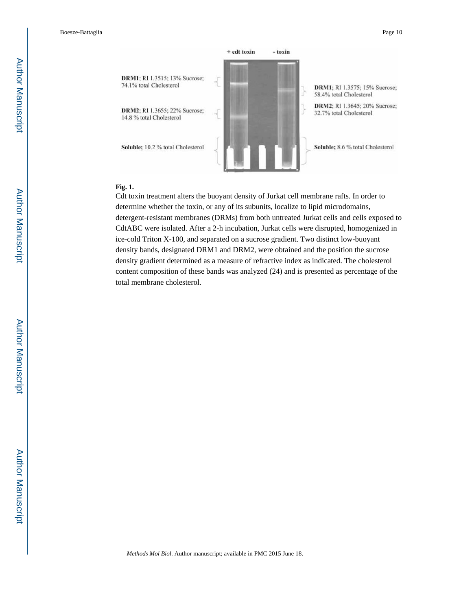

#### **Fig. 1.**

Cdt toxin treatment alters the buoyant density of Jurkat cell membrane rafts. In order to determine whether the toxin, or any of its subunits, localize to lipid microdomains, detergent-resistant membranes (DRMs) from both untreated Jurkat cells and cells exposed to CdtABC were isolated. After a 2-h incubation, Jurkat cells were disrupted, homogenized in ice-cold Triton X-100, and separated on a sucrose gradient. Two distinct low-buoyant density bands, designated DRM1 and DRM2, were obtained and the position the sucrose density gradient determined as a measure of refractive index as indicated. The cholesterol content composition of these bands was analyzed (24) and is presented as percentage of the total membrane cholesterol.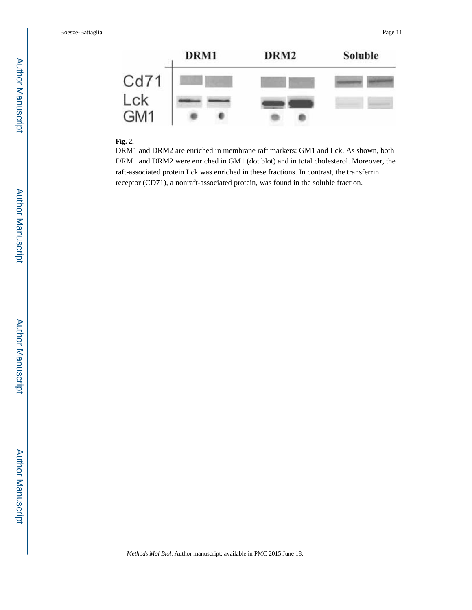|      | DRM1 | DRM <sub>2</sub> | Soluble |
|------|------|------------------|---------|
| Cd71 |      |                  |         |
| Lck  |      |                  |         |
| GM1  |      |                  |         |

# **Fig. 2.**

DRM1 and DRM2 are enriched in membrane raft markers: GM1 and Lck. As shown, both DRM1 and DRM2 were enriched in GM1 (dot blot) and in total cholesterol. Moreover, the raft-associated protein Lck was enriched in these fractions. In contrast, the transferrin receptor (CD71), a nonraft-associated protein, was found in the soluble fraction.